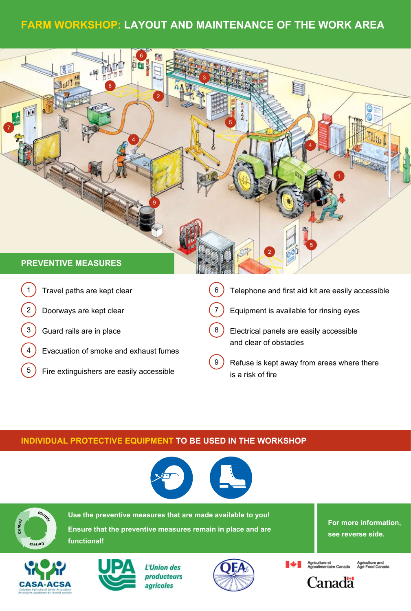# **Farm Workshop: Layout and maintenance of the work area**



- 2 Doorways are kept clear
- 3) Guard rails are in place
- 4 Evacuation of smoke and exhaust fumes
- 5) Fire extinguishers are easily accessible
- $7$ ) Equipment is available for rinsing eyes
- 8 Electrical panels are easily accessible and clear of obstacles
- 9 ) Refuse is kept away from areas where there is a risk of fire

### **Individual protective equipment to be used in the workshop**





**Use the preventive measures that are made available to you! Ensure that the preventive measures remain in place and are functional!** 

**For more information, see reverse side.**





L'Union des producteurs agricoles